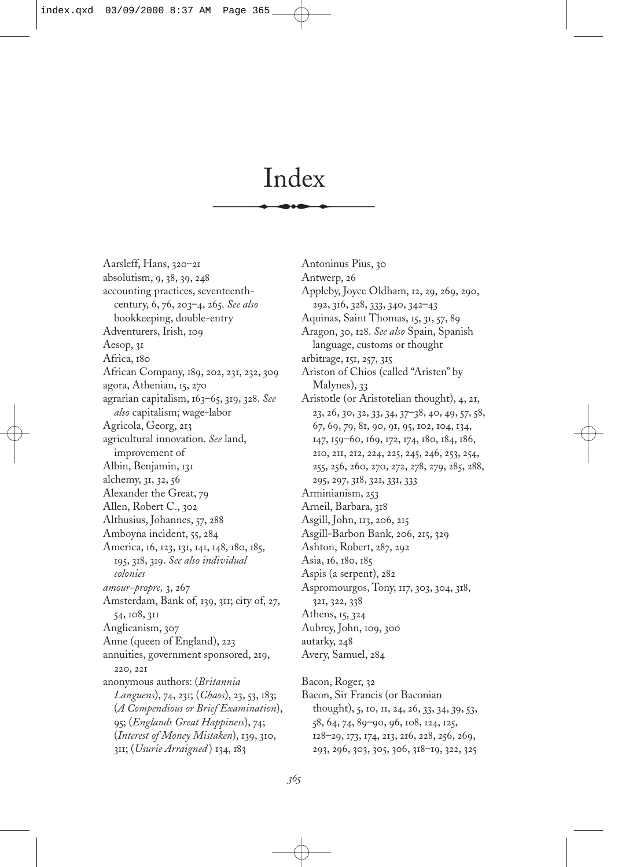# Index

Aarsleff, Hans, 320–21 absolutism, 9, 38, 39, 248 accounting practices, seventeenthcentury, 6, 76, 203–4, 265. *See also* bookkeeping, double-entry Adventurers, Irish, 109 Aesop, 31 Africa, 180 African Company, 189, 202, 231, 232, 309 agora, Athenian, 15, 270 agrarian capitalism, 163–65, 319, 328. *See also* capitalism; wage-labor Agricola, Georg, 213 agricultural innovation. *See* land, improvement of Albin, Benjamin, 131 alchemy, 31, 32, 56 Alexander the Great, 79 Allen, Robert C., 302 Althusius, Johannes, 57, 288 Amboyna incident, 55, 284 America, 16, 123, 131, 141, 148, 180, 185, 195, 318, 319. *See also individual colonies amour-propre,* 3, 267 Amsterdam, Bank of, 139, 311; city of, 27, 54, 108, 311 Anglicanism, 307 Anne (queen of England), 223 annuities, government sponsored, 219, 220, 221 anonymous authors: (*Britannia Languens*), 74, 231; (*Chaos*), 23, 53, 183; (*A Compendious or Brief Examination*), 95; (*Englands Great Happiness*), 74; (*Interest of Money Mistaken*), 139, 310, 311; (*Usurie Arraigned* ) 134, 183

Antoninus Pius, 30 Antwerp, 26 Appleby, Joyce Oldham, 12, 29, 269, 290, 292, 316, 328, 333, 340, 342–43 Aquinas, Saint Thomas, 15, 31, 57, 89 Aragon, 30, 128. *See also* Spain, Spanish language, customs or thought arbitrage, 151, 257, 315 Ariston of Chios (called "Aristen" by Malynes), 33 Aristotle (or Aristotelian thought), 4, 21, 23, 26, 30, 32, 33, 34, 37–38, 40, 49, 57, 58, 67, 69, 79, 81, 90, 91, 95, 102, 104, 134, 147, 159–60, 169, 172, 174, 180, 184, 186, 210, 211, 212, 224, 225, 245, 246, 253, 254, 255, 256, 260, 270, 272, 278, 279, 285, 288, 295, 297, 318, 321, 331, 333 Arminianism, 253 Arneil, Barbara, 318 Asgill, John, 113, 206, 215 Asgill-Barbon Bank, 206, 215, 329 Ashton, Robert, 287, 292 Asia, 16, 180, 185 Aspis (a serpent), 282 Aspromourgos, Tony, 117, 303, 304, 318, 321, 322, 338 Athens, 15, 324 Aubrey, John, 109, 300 autarky, 248 Avery, Samuel, 284 Bacon, Roger, 32 Bacon, Sir Francis (or Baconian

thought), 5, 10, 11, 24, 26, 33, 34, 39, 53, 58, 64, 74, 89–90, 96, 108, 124, 125, 128–29, 173, 174, 213, 216, 228, 256, 269, 293, 296, 303, 305, 306, 318–19, 322, 325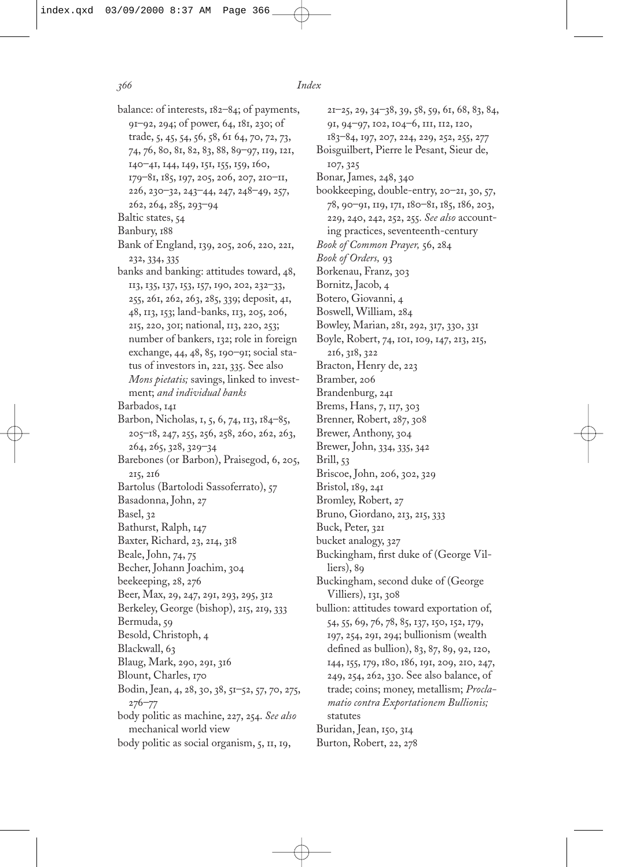- balance: of interests, 182–84; of payments, 91–92, 294; of power, 64, 181, 230; of trade, 5, 45, 54, 56, 58, 61 64, 70, 72, 73, 74, 76, 80, 81, 82, 83, 88, 89–97, 119, 121, 140–41, 144, 149, 151, 155, 159, 160, 179–81, 185, 197, 205, 206, 207, 210–11, 226, 230–32, 243–44, 247, 248–49, 257, 262, 264, 285, 293–94 Baltic states, 54 Banbury, 188 Bank of England, 139, 205, 206, 220, 221, 232, 334, 335 banks and banking: attitudes toward, 48, 113, 135, 137, 153, 157, 190, 202, 232–33, 255, 261, 262, 263, 285, 339; deposit, 41, 48, 113, 153; land-banks, 113, 205, 206, 215, 220, 301; national, 113, 220, 253; number of bankers, 132; role in foreign exchange, 44, 48, 85, 190–91; social status of investors in, 221, 335. See also *Mons pietatis;* savings, linked to investment; *and individual banks* Barbados, 141 Barbon, Nicholas, 1, 5, 6, 74, 113, 184–85, 205–18, 247, 255, 256, 258, 260, 262, 263, 264, 265, 328, 329–34 Barebones (or Barbon), Praisegod, 6, 205, 215, 216 Bartolus (Bartolodi Sassoferrato), 57 Basadonna, John, 27 Basel, 32 Bathurst, Ralph, 147 *366 Index*
- Baxter, Richard, 23, 214, 318 Beale, John, 74, 75 Becher, Johann Joachim, 304
- beekeeping, 28, 276 Beer, Max, 29, 247, 291, 293, 295, 312 Berkeley, George (bishop), 215, 219, 333 Bermuda, 59 Besold, Christoph, 4 Blackwall, 63 Blaug, Mark, 290, 291, 316 Blount, Charles, 170 Bodin, Jean, 4, 28, 30, 38, 51–52, 57, 70, 275, 276–77 body politic as machine, 227, 254. *See also* mechanical world view

body politic as social organism, 5, 11, 19,

21–25, 29, 34–38, 39, 58, 59, 61, 68, 83, 84, 91, 94–97, 102, 104–6, 111, 112, 120, 183–84, 197, 207, 224, 229, 252, 255, 277 Boisguilbert, Pierre le Pesant, Sieur de, 107, 325 Bonar, James, 248, 340 bookkeeping, double-entry, 20–21, 30, 57, 78, 90–91, 119, 171, 180–81, 185, 186, 203, 229, 240, 242, 252, 255. *See also* accounting practices, seventeenth-century *Book of Common Prayer,* 56, 284 *Book of Orders,* 93 Borkenau, Franz, 303 Bornitz, Jacob, 4 Botero, Giovanni, 4 Boswell, William, 284 Bowley, Marian, 281, 292, 317, 330, 331 Boyle, Robert, 74, 101, 109, 147, 213, 215, 216, 318, 322 Bracton, Henry de, 223 Bramber, 206 Brandenburg, 241 Brems, Hans, 7, 117, 303 Brenner, Robert, 287, 308 Brewer, Anthony, 304 Brewer, John, 334, 335, 342 Brill, 53 Briscoe, John, 206, 302, 329 Bristol, 189, 241 Bromley, Robert, 27 Bruno, Giordano, 213, 215, 333 Buck, Peter, 321 bucket analogy, 327 Buckingham, first duke of (George Villiers), 89 Buckingham, second duke of (George Villiers), 131, 308 bullion: attitudes toward exportation of, 54, 55, 69, 76, 78, 85, 137, 150, 152, 179, 197, 254, 291, 294; bullionism (wealth defined as bullion), 83, 87, 89, 92, 120, 144, 155, 179, 180, 186, 191, 209, 210, 247, 249, 254, 262, 330. See also balance, of trade; coins; money, metallism; *Proclamatio contra Exportationem Bullionis;* statutes Buridan, Jean, 150, 314 Burton, Robert, 22, 278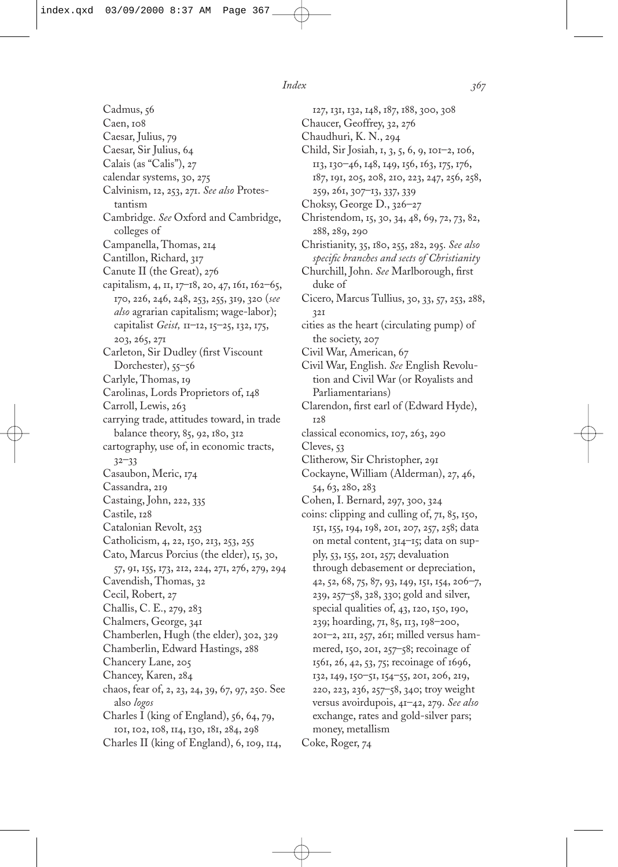Cadmus, 56 Caen, 108 Caesar, Julius, 79 Caesar, Sir Julius, 64 Calais (as "Calis"), 27 calendar systems, 30, 275 Calvinism, 12, 253, 271. *See also* Protestantism Cambridge. *See* Oxford and Cambridge, colleges of Campanella, Thomas, 214 Cantillon, Richard, 317 Canute II (the Great), 276 capitalism, 4, 11, 17–18, 20, 47, 161, 162–65, 170, 226, 246, 248, 253, 255, 319, 320 (*see also* agrarian capitalism; wage-labor); capitalist *Geist,* 11–12, 15–25, 132, 175, 203, 265, 271 Carleton, Sir Dudley (first Viscount Dorchester), 55–56 Carlyle, Thomas, 19 Carolinas, Lords Proprietors of, 148 Carroll, Lewis, 263 carrying trade, attitudes toward, in trade balance theory, 85, 92, 180, 312 cartography, use of, in economic tracts, 32–33 Casaubon, Meric, 174 Cassandra, 219 Castaing, John, 222, 335 Castile, 128 Catalonian Revolt, 253 Catholicism, 4, 22, 150, 213, 253, 255 Cato, Marcus Porcius (the elder), 15, 30, 57, 91, 155, 173, 212, 224, 271, 276, 279, 294 Cavendish, Thomas, 32 Cecil, Robert, 27 Challis, C. E., 279, 283 Chalmers, George, 341 Chamberlen, Hugh (the elder), 302, 329 Chamberlin, Edward Hastings, 288 Chancery Lane, 205 Chancey, Karen, 284 chaos, fear of, 2, 23, 24, 39, 67, 97, 250. See also *logos* Charles I (king of England), 56, 64, 79, 101, 102, 108, 114, 130, 181, 284, 298 Charles II (king of England), 6, 109, 114,

127, 131, 132, 148, 187, 188, 300, 308 Chaucer, Geoffrey, 32, 276 Chaudhuri, K. N., 294 Child, Sir Josiah, 1, 3, 5, 6, 9, 101–2, 106, 113, 130–46, 148, 149, 156, 163, 175, 176, 187, 191, 205, 208, 210, 223, 247, 256, 258, 259, 261, 307–13, 337, 339 Choksy, George D., 326–27 Christendom, 15, 30, 34, 48, 69, 72, 73, 82, 288, 289, 290 Christianity, 35, 180, 255, 282, 295. *See also* specific branches and sects of Christianity Churchill, John. See Marlborough, first duke of Cicero, Marcus Tullius, 30, 33, 57, 253, 288, 321 cities as the heart (circulating pump) of the society, 207 Civil War, American, 67 Civil War, English. *See* English Revolution and Civil War (or Royalists and Parliamentarians) Clarendon, first earl of (Edward Hyde), 128 classical economics, 107, 263, 290 Cleves, 53 Clitherow, Sir Christopher, 291 Cockayne, William (Alderman), 27, 46, 54, 63, 280, 283 Cohen, I. Bernard, 297, 300, 324 coins: clipping and culling of, 71, 85, 150, 151, 155, 194, 198, 201, 207, 257, 258; data on metal content, 314–15; data on supply, 53, 155, 201, 257; devaluation through debasement or depreciation, 42, 52, 68, 75, 87, 93, 149, 151, 154, 206–7, 239, 257–58, 328, 330; gold and silver, special qualities of, 43, 120, 150, 190, 239; hoarding, 71, 85, 113, 198–200, 201–2, 211, 257, 261; milled versus hammered, 150, 201, 257–58; recoinage of 1561, 26, 42, 53, 75; recoinage of 1696, 132, 149, 150–51, 154–55, 201, 206, 219, 220, 223, 236, 257–58, 340; troy weight versus avoirdupois, 41–42, 279. *See also* exchange, rates and gold-silver pars; money, metallism Coke, Roger, 74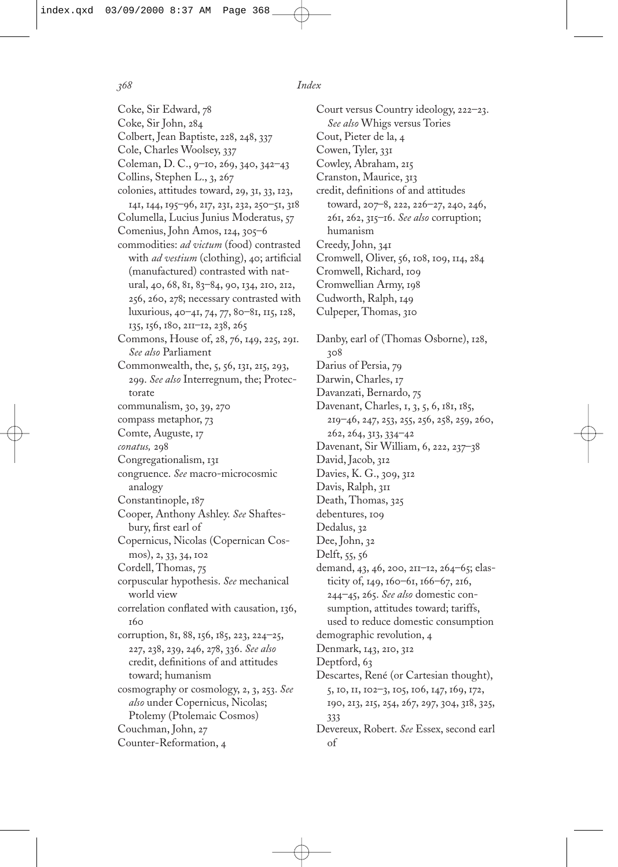Coke, Sir Edward, 78 Coke, Sir John, 284 Colbert, Jean Baptiste, 228, 248, 337 Cole, Charles Woolsey, 337 Coleman, D. C., 9–10, 269, 340, 342–43 Collins, Stephen L., 3, 267 colonies, attitudes toward, 29, 31, 33, 123, 141, 144, 195–96, 217, 231, 232, 250–51, 318 Columella, Lucius Junius Moderatus, 57 Comenius, John Amos, 124, 305–6 commodities: *ad victum* (food) contrasted with *ad vestium* (clothing), 40; artificial (manufactured) contrasted with natural, 40, 68, 81, 83–84, 90, 134, 210, 212, 256, 260, 278; necessary contrasted with luxurious, 40–41, 74, 77, 80–81, 115, 128, 135, 156, 180, 211–12, 238, 265 Commons, House of, 28, 76, 149, 225, 291. *See also* Parliament Commonwealth, the, 5, 56, 131, 215, 293, 299. *See also* Interregnum, the; Protectorate communalism, 30, 39, 270 compass metaphor, 73 Comte, Auguste, 17 *conatus,* 298 Congregationalism, 131 congruence. *See* macro-microcosmic analogy Constantinople, 187 Cooper, Anthony Ashley. *See* Shaftesbury, first earl of Copernicus, Nicolas (Copernican Cosmos), 2, 33, 34, 102 Cordell, Thomas, 75 corpuscular hypothesis. *See* mechanical world view correlation conflated with causation, 136, **т**бо corruption, 81, 88, 156, 185, 223, 224–25, 227, 238, 239, 246, 278, 336. *See also* credit, definitions of and attitudes toward; humanism cosmography or cosmology, 2, 3, 253. *See also* under Copernicus, Nicolas; Ptolemy (Ptolemaic Cosmos) Couchman, John, 27 Counter-Reformation, 4

Court versus Country ideology, 222–23. *See also* Whigs versus Tories Cout, Pieter de la, 4 Cowen, Tyler, 331 Cowley, Abraham, 215 Cranston, Maurice, 313 credit, definitions of and attitudes toward, 207–8, 222, 226–27, 240, 246, 261, 262, 315–16. *See also* corruption; humanism Creedy, John, 341 Cromwell, Oliver, 56, 108, 109, 114, 284 Cromwell, Richard, 109 Cromwellian Army, 198 Cudworth, Ralph, 149 Culpeper, Thomas, 310 Danby, earl of (Thomas Osborne), 128, 308 Darius of Persia, 79 Darwin, Charles, 17 Davanzati, Bernardo, 75 Davenant, Charles, 1, 3, 5, 6, 181, 185, 219–46, 247, 253, 255, 256, 258, 259, 260, 262, 264, 313, 334–42 Davenant, Sir William, 6, 222, 237–38 David, Jacob, 312 Davies, K. G., 309, 312 Davis, Ralph, 311 Death, Thomas, 325 debentures, 109 Dedalus, 32 Dee, John, 32 Delft, 55, 56 demand, 43, 46, 200, 211–12, 264–65; elasticity of, 149, 160–61, 166–67, 216, 244–45, 265. *See also* domestic consumption, attitudes toward; tariffs, used to reduce domestic consumption demographic revolution, 4 Denmark, 143, 210, 312 Deptford, 63 Descartes, René (or Cartesian thought), 5, 10, 11, 102–3, 105, 106, 147, 169, 172, 190, 213, 215, 254, 267, 297, 304, 318, 325, 333 Devereux, Robert. *See* Essex, second earl of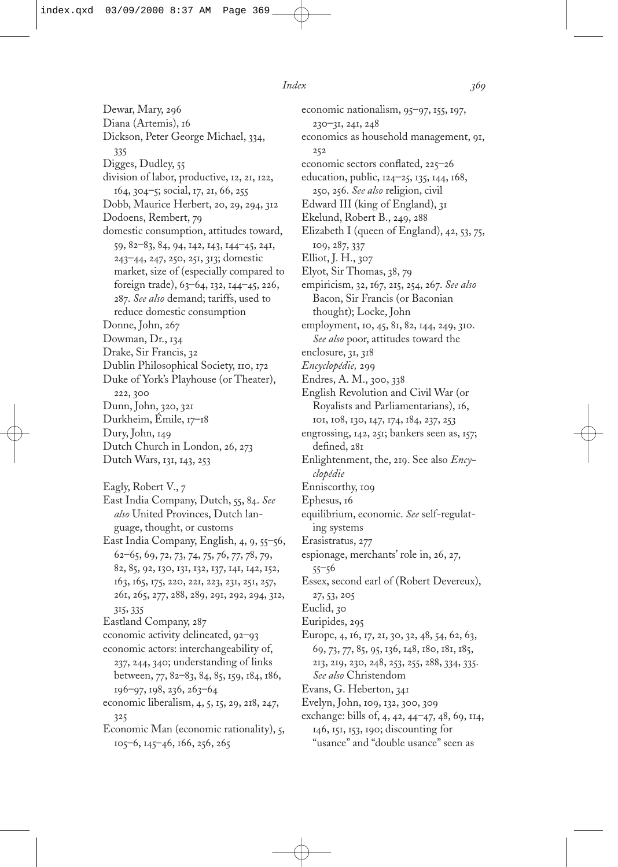Dewar, Mary, 296 Diana (Artemis), 16 Dickson, Peter George Michael, 334, 335 Digges, Dudley, 55 division of labor, productive, 12, 21, 122, 164, 304–5; social, 17, 21, 66, 255 Dobb, Maurice Herbert, 20, 29, 294, 312 Dodoens, Rembert, 79 domestic consumption, attitudes toward, 59, 82–83, 84, 94, 142, 143, 144–45, 241, 243–44, 247, 250, 251, 313; domestic market, size of (especially compared to foreign trade), 63–64, 132, 144–45, 226, 287. *See also* demand; tariffs, used to reduce domestic consumption Donne, John, 267 Dowman, Dr., 134 Drake, Sir Francis, 32 Dublin Philosophical Society, 110, 172 Duke of York's Playhouse (or Theater), 222, 300 Dunn, John, 320, 321 Durkheim, Émile, 17–18 Dury, John, 149 Dutch Church in London, 26, 273 Dutch Wars, 131, 143, 253 Eagly, Robert V., 7 East India Company, Dutch, 55, 84. *See also* United Provinces, Dutch language, thought, or customs East India Company, English, 4, 9, 55–56, 62–65, 69, 72, 73, 74, 75, 76, 77, 78, 79, 82, 85, 92, 130, 131, 132, 137, 141, 142, 152, 163, 165, 175, 220, 221, 223, 231, 251, 257, 261, 265, 277, 288, 289, 291, 292, 294, 312, 315, 335 Eastland Company, 287 economic activity delineated, 92–93 economic actors: interchangeability of, 237, 244, 340; understanding of links between, 77, 82–83, 84, 85, 159, 184, 186, 196–97, 198, 236, 263–64 economic liberalism, 4, 5, 15, 29, 218, 247, 325 Economic Man (economic rationality), 5, 105–6, 145–46, 166, 256, 265

economic nationalism, 95–97, 155, 197, 230–31, 241, 248 economics as household management, 91, 252 economic sectors conflated, 225–26 education, public, 124–25, 135, 144, 168, 250, 256. *See also* religion, civil Edward III (king of England), 31 Ekelund, Robert B., 249, 288 Elizabeth I (queen of England), 42, 53, 75, 109, 287, 337 Elliot, J. H., 307 Elyot, Sir Thomas, 38, 79 empiricism, 32, 167, 215, 254, 267. *See also* Bacon, Sir Francis (or Baconian thought); Locke, John employment, 10, 45, 81, 82, 144, 249, 310. *See also* poor, attitudes toward the enclosure, 31, 318 *Encyclopédie,* 299 Endres, A. M., 300, 338 English Revolution and Civil War (or Royalists and Parliamentarians), 16, 101, 108, 130, 147, 174, 184, 237, 253 engrossing, 142, 251; bankers seen as, 157; defined, 281 Enlightenment, the, 219. See also *Encyclopédie* Enniscorthy, 109 Ephesus, 16 equilibrium, economic. *See* self-regulating systems Erasistratus, 277 espionage, merchants' role in, 26, 27, 55–56 Essex, second earl of (Robert Devereux), 27, 53, 205 Euclid, 30 Euripides, 295 Europe, 4, 16, 17, 21, 30, 32, 48, 54, 62, 63, 69, 73, 77, 85, 95, 136, 148, 180, 181, 185, 213, 219, 230, 248, 253, 255, 288, 334, 335. *See also* Christendom Evans, G. Heberton, 341 Evelyn, John, 109, 132, 300, 309 exchange: bills of, 4, 42, 44–47, 48, 69, 114, 146, 151, 153, 190; discounting for "usance" and "double usance" seen as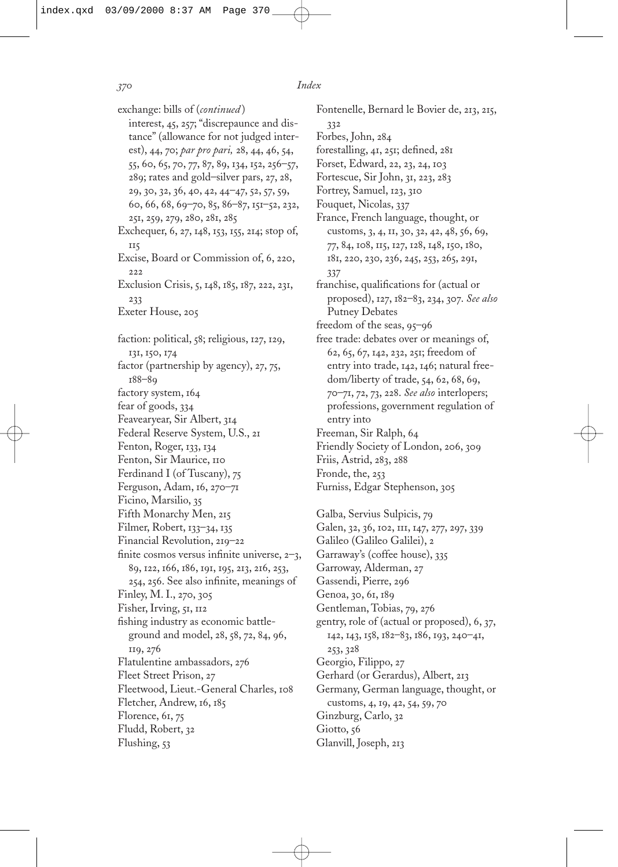exchange: bills of (*continued* ) interest, 45, 257; "discrepaunce and distance" (allowance for not judged interest), 44, 70; *par pro pari,* 28, 44, 46, 54, 55, 60, 65, 70, 77, 87, 89, 134, 152, 256–57, 289; rates and gold–silver pars, 27, 28, 29, 30, 32, 36, 40, 42, 44–47, 52, 57, 59, 60, 66, 68, 69–70, 85, 86–87, 151–52, 232, 251, 259, 279, 280, 281, 285 Exchequer, 6, 27, 148, 153, 155, 214; stop of, 115 Excise, Board or Commission of, 6, 220, 222 Exclusion Crisis, 5, 148, 185, 187, 222, 231, 233 Exeter House, 205 faction: political, 58; religious, 127, 129, 131, 150, 174 factor (partnership by agency), 27, 75, 188–89 factory system, 164 fear of goods, 334 Feavearyear, Sir Albert, 314 Federal Reserve System, U.S., 21 Fenton, Roger, 133, 134 Fenton, Sir Maurice, 110 Ferdinand I (of Tuscany), 75 Ferguson, Adam, 16, 270–71 Ficino, Marsilio, 35 Fifth Monarchy Men, 215 Filmer, Robert, 133–34, 135 Financial Revolution, 219–22 finite cosmos versus infinite universe,  $2-3$ , 89, 122, 166, 186, 191, 195, 213, 216, 253, 254, 256. See also infinite, meanings of Finley, M. I., 270, 305 Fisher, Irving, 51, 112 fishing industry as economic battleground and model, 28, 58, 72, 84, 96, 119, 276 Flatulentine ambassadors, 276 Fleet Street Prison, 27 Fleetwood, Lieut.-General Charles, 108 Fletcher, Andrew, 16, 185 Florence, 61, 75 Fludd, Robert, 32 Flushing, 53

Fontenelle, Bernard le Bovier de, 213, 215, 332 Forbes, John, 284 forestalling,  $41$ ,  $251$ ; defined,  $281$ Forset, Edward, 22, 23, 24, 103 Fortescue, Sir John, 31, 223, 283 Fortrey, Samuel, 123, 310 Fouquet, Nicolas, 337 France, French language, thought, or customs, 3, 4, 11, 30, 32, 42, 48, 56, 69, 77, 84, 108, 115, 127, 128, 148, 150, 180, 181, 220, 230, 236, 245, 253, 265, 291, 337 franchise, qualifications for (actual or proposed), 127, 182–83, 234, 307. *See also* Putney Debates freedom of the seas, 95–96 free trade: debates over or meanings of, 62, 65, 67, 142, 232, 251; freedom of entry into trade, 142, 146; natural freedom/liberty of trade, 54, 62, 68, 69, 70–71, 72, 73, 228. *See also* interlopers; professions, government regulation of entry into Freeman, Sir Ralph, 64 Friendly Society of London, 206, 309 Friis, Astrid, 283, 288 Fronde, the, 253 Furniss, Edgar Stephenson, 305 Galba, Servius Sulpicis, 79 Galen, 32, 36, 102, 111, 147, 277, 297, 339 Galileo (Galileo Galilei), 2 Garraway's (coffee house), 335

Garroway, Alderman, 27 Gassendi, Pierre, 296 Genoa, 30, 61, 189 Gentleman, Tobias, 79, 276 gentry, role of (actual or proposed), 6, 37, 142, 143, 158, 182–83, 186, 193, 240–41, 253, 328 Georgio, Filippo, 27 Gerhard (or Gerardus), Albert, 213 Germany, German language, thought, or customs, 4, 19, 42, 54, 59, 70 Ginzburg, Carlo, 32 Giotto, 56 Glanvill, Joseph, 213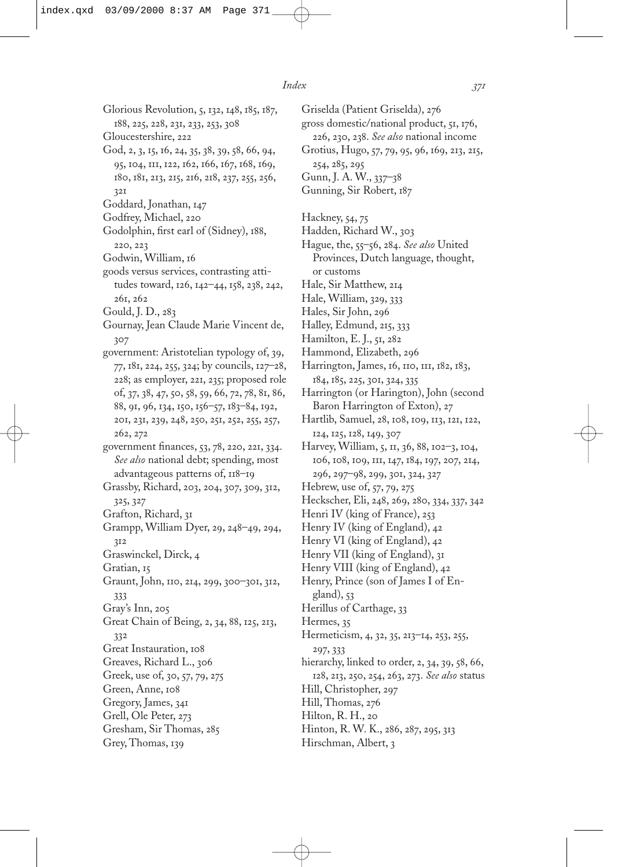Glorious Revolution, 5, 132, 148, 185, 187, 188, 225, 228, 231, 233, 253, 308 Gloucestershire, 222 God, 2, 3, 15, 16, 24, 35, 38, 39, 58, 66, 94, 95, 104, 111, 122, 162, 166, 167, 168, 169, 180, 181, 213, 215, 216, 218, 237, 255, 256, 321 Goddard, Jonathan, 147 Godfrey, Michael, 220 Godolphin, first earl of (Sidney), 188, 220, 223 Godwin, William, 16 goods versus services, contrasting attitudes toward, 126, 142–44, 158, 238, 242, 261, 262 Gould, J. D., 283 Gournay, Jean Claude Marie Vincent de, 307 government: Aristotelian typology of, 39, 77, 181, 224, 255, 324; by councils, 127–28, 228; as employer, 221, 235; proposed role of, 37, 38, 47, 50, 58, 59, 66, 72, 78, 81, 86, 88, 91, 96, 134, 150, 156–57, 183–84, 192, 201, 231, 239, 248, 250, 251, 252, 255, 257, 262, 272 government finances, 53, 78, 220, 221, 334. *See also* national debt; spending, most advantageous patterns of, 118–19 Grassby, Richard, 203, 204, 307, 309, 312, 325, 327 Grafton, Richard, 31 Grampp, William Dyer, 29, 248–49, 294, 312 Graswinckel, Dirck, 4 Gratian, 15 Graunt, John, 110, 214, 299, 300–301, 312, 333 Gray's Inn, 205 Great Chain of Being, 2, 34, 88, 125, 213, 332 Great Instauration, 108 Greaves, Richard L., 306 Greek, use of, 30, 57, 79, 275 Green, Anne, 108 Gregory, James, 341 Grell, Ole Peter, 273 Gresham, Sir Thomas, 285 Grey, Thomas, 139

Griselda (Patient Griselda), 276 gross domestic/national product, 51, 176, 226, 230, 238. *See also* national income Grotius, Hugo, 57, 79, 95, 96, 169, 213, 215, 254, 285, 295 Gunn, J. A. W., 337–38 Gunning, Sir Robert, 187 Hackney, 54, 75 Hadden, Richard W., 303 Hague, the, 55–56, 284. *See also* United Provinces, Dutch language, thought, or customs Hale, Sir Matthew, 214 Hale, William, 329, 333 Hales, Sir John, 296 Halley, Edmund, 215, 333 Hamilton, E. J., 51, 282 Hammond, Elizabeth, 296 Harrington, James, 16, 110, 111, 182, 183, 184, 185, 225, 301, 324, 335 Harrington (or Harington), John (second Baron Harrington of Exton), 27 Hartlib, Samuel, 28, 108, 109, 113, 121, 122, 124, 125, 128, 149, 307 Harvey, William, 5, 11, 36, 88, 102–3, 104, 106, 108, 109, 111, 147, 184, 197, 207, 214, 296, 297–98, 299, 301, 324, 327 Hebrew, use of, 57, 79, 275 Heckscher, Eli, 248, 269, 280, 334, 337, 342 Henri IV (king of France), 253 Henry IV (king of England), 42 Henry VI (king of England), 42 Henry VII (king of England), 31 Henry VIII (king of England), 42 Henry, Prince (son of James I of England), 53 Herillus of Carthage, 33 Hermes, 35 Hermeticism, 4, 32, 35, 213–14, 253, 255, 297, 333 hierarchy, linked to order, 2, 34, 39, 58, 66, 128, 213, 250, 254, 263, 273. *See also* status Hill, Christopher, 297 Hill, Thomas, 276 Hilton, R. H., 20 Hinton, R. W. K., 286, 287, 295, 313 Hirschman, Albert, 3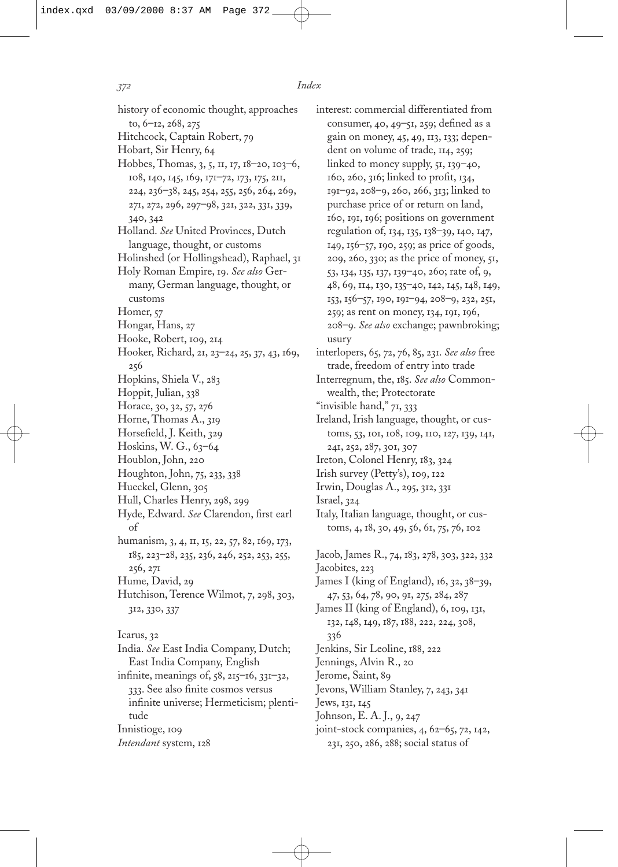history of economic thought, approaches to, 6–12, 268, 275 Hitchcock, Captain Robert, 79 Hobart, Sir Henry, 64 Hobbes, Thomas, 3, 5, 11, 17, 18–20, 103–6, 108, 140, 145, 169, 171–72, 173, 175, 211, 224, 236–38, 245, 254, 255, 256, 264, 269, 271, 272, 296, 297–98, 321, 322, 331, 339, 340, 342 Holland. *See* United Provinces, Dutch language, thought, or customs Holinshed (or Hollingshead), Raphael, 31 Holy Roman Empire, 19. *See also* Germany, German language, thought, or customs Homer, 57 Hongar, Hans, 27 Hooke, Robert, 109, 214 Hooker, Richard, 21, 23–24, 25, 37, 43, 169, 256 Hopkins, Shiela V., 283 Hoppit, Julian, 338 Horace, 30, 32, 57, 276 Horne, Thomas A., 319 Horsefield, J. Keith, 329 Hoskins, W. G., 63–64 Houblon, John, 220 Houghton, John, 75, 233, 338 Hueckel, Glenn, 305 Hull, Charles Henry, 298, 299 Hyde, Edward. See Clarendon, first earl of humanism, 3, 4, 11, 15, 22, 57, 82, 169, 173, 185, 223–28, 235, 236, 246, 252, 253, 255, 256, 271 Hume, David, 29 Hutchison, Terence Wilmot, 7, 298, 303, 312, 330, 337 Icarus, 32 India. *See* East India Company, Dutch; East India Company, English infinite, meanings of,  $58$ ,  $215-16$ ,  $331-32$ , 333. See also finite cosmos versus infinite universe; Hermeticism; plentitude Innistioge, 109 *Intendant* system, 128

interest: commercial differentiated from consumer,  $40, 49$ – $51, 259$ ; defined as a gain on money, 45, 49, 113, 133; dependent on volume of trade, 114, 259; linked to money supply,  $51, 139 - 40$ , 160, 260, 316; linked to profit, 134, 191–92, 208–9, 260, 266, 313; linked to purchase price of or return on land, 160, 191, 196; positions on government regulation of, 134, 135, 138–39, 140, 147, 149, 156–57, 190, 259; as price of goods, 209, 260, 330; as the price of money, 51, 53, 134, 135, 137, 139–40, 260; rate of, 9, 48, 69, 114, 130, 135–40, 142, 145, 148, 149, 153, 156–57, 190, 191–94, 208–9, 232, 251, 259; as rent on money, 134, 191, 196, 208–9. *See also* exchange; pawnbroking; usury interlopers, 65, 72, 76, 85, 231. *See also* free trade, freedom of entry into trade Interregnum, the, 185. *See also* Commonwealth, the; Protectorate "invisible hand," 71, 333 Ireland, Irish language, thought, or customs, 53, 101, 108, 109, 110, 127, 139, 141, 241, 252, 287, 301, 307 Ireton, Colonel Henry, 183, 324 Irish survey (Petty's), 109, 122 Irwin, Douglas A., 295, 312, 331 Israel, 324 Italy, Italian language, thought, or customs, 4, 18, 30, 49, 56, 61, 75, 76, 102 Jacob, James R., 74, 183, 278, 303, 322, 332 Jacobites, 223 James I (king of England), 16, 32, 38–39, 47, 53, 64, 78, 90, 91, 275, 284, 287 James II (king of England), 6, 109, 131, 132, 148, 149, 187, 188, 222, 224, 308, 336 Jenkins, Sir Leoline, 188, 222 Jennings, Alvin R., 20 Jerome, Saint, 89 Jevons, William Stanley, 7, 243, 341 Jews, 131, 145 Johnson, E. A. J., 9, 247 joint-stock companies, 4, 62–65, 72, 142,

231, 250, 286, 288; social status of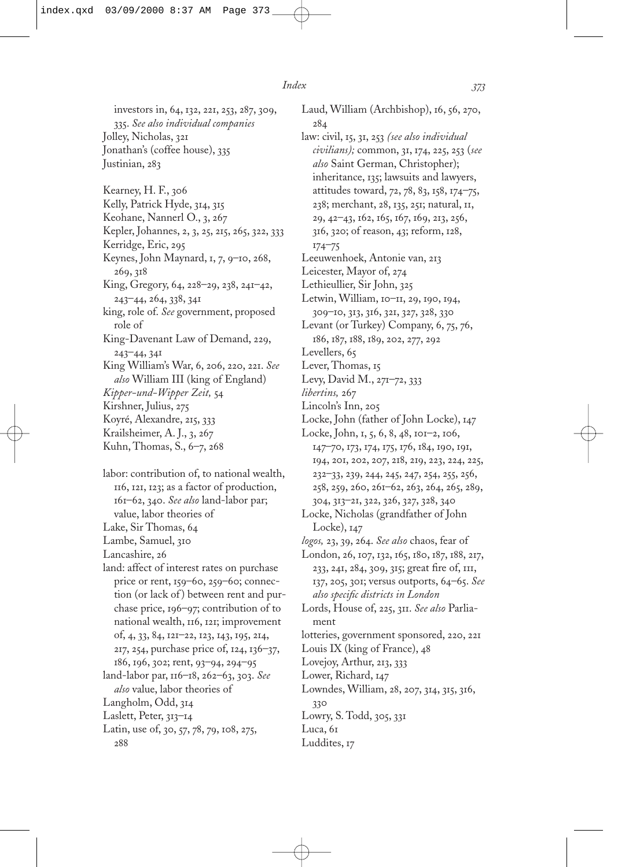284

investors in, 64, 132, 221, 253, 287, 309, 335. *See also individual companies* Jolley, Nicholas, 321 Jonathan's (coffee house), 335 Justinian, 283 Kearney, H. F., 306 Kelly, Patrick Hyde, 314, 315 Keohane, Nannerl O., 3, 267 Kepler, Johannes, 2, 3, 25, 215, 265, 322, 333 Kerridge, Eric, 295 Keynes, John Maynard, 1, 7, 9–10, 268, 269, 318 King, Gregory, 64, 228–29, 238, 241–42, 243–44, 264, 338, 341 king, role of. *See* government, proposed role of King-Davenant Law of Demand, 229, 243–44, 341 King William's War, 6, 206, 220, 221. *See also* William III (king of England) *Kipper-und-Wipper Zeit,* 54 Kirshner, Julius, 275 Koyré, Alexandre, 215, 333 Krailsheimer, A. J., 3, 267 Kuhn, Thomas, S., 6–7, 268

labor: contribution of, to national wealth, 116, 121, 123; as a factor of production, 161–62, 340. *See also* land-labor par; value, labor theories of Lake, Sir Thomas, 64 Lambe, Samuel, 310

Lancashire, 26

land: affect of interest rates on purchase price or rent, 159–60, 259–60; connection (or lack of) between rent and purchase price, 196–97; contribution of to national wealth, 116, 121; improvement of, 4, 33, 84, 121–22, 123, 143, 195, 214, 217, 254, purchase price of, 124, 136–37, 186, 196, 302; rent, 93–94, 294–95

land-labor par, 116–18, 262–63, 303. *See also* value, labor theories of Langholm, Odd, 314

- Laslett, Peter, 313–14
- Latin, use of, 30, 57, 78, 79, 108, 275, 288

Laud, William (Archbishop), 16, 56, 270, law: civil, 15, 31, 253 *(see also individual Index 373*

*civilians);* common, 31, 174, 225, 253 (*see also* Saint German, Christopher); inheritance, 135; lawsuits and lawyers, attitudes toward, 72, 78, 83, 158, 174–75, 238; merchant, 28, 135, 251; natural, 11, 29, 42–43, 162, 165, 167, 169, 213, 256, 316, 320; of reason, 43; reform, 128, 174–75

Leeuwenhoek, Antonie van, 213

- Leicester, Mayor of, 274
- Lethieullier, Sir John, 325
- Letwin, William, 10–11, 29, 190, 194, 309–10, 313, 316, 321, 327, 328, 330
- Levant (or Turkey) Company, 6, 75, 76, 186, 187, 188, 189, 202, 277, 292

Levellers, 65

Lever, Thomas, 15

Levy, David M., 271–72, 333

*libertins,* 267

- Lincoln's Inn, 205
- Locke, John (father of John Locke), 147
- Locke, John, 1, 5, 6, 8, 48, 101–2, 106, 147–70, 173, 174, 175, 176, 184, 190, 191, 194, 201, 202, 207, 218, 219, 223, 224, 225, 232–33, 239, 244, 245, 247, 254, 255, 256, 258, 259, 260, 261–62, 263, 264, 265, 289,
- 304, 313–21, 322, 326, 327, 328, 340 Locke, Nicholas (grandfather of John Locke), 147
- *logos,* 23, 39, 264. *See also* chaos, fear of
- London, 26, 107, 132, 165, 180, 187, 188, 217, 233, 241, 284, 309, 315; great fire of, 111, 137, 205, 301; versus outports, 64–65. *See also specific districts in London*
- Lords, House of, 225, 311. *See also* Parliament

lotteries, government sponsored, 220, 221

- Louis IX (king of France), 48
- Lovejoy, Arthur, 213, 333
- Lower, Richard, 147
- Lowndes, William, 28, 207, 314, 315, 316, 330 Lowry, S. Todd, 305, 331
- 

## Luca, 61

#### Luddites, 17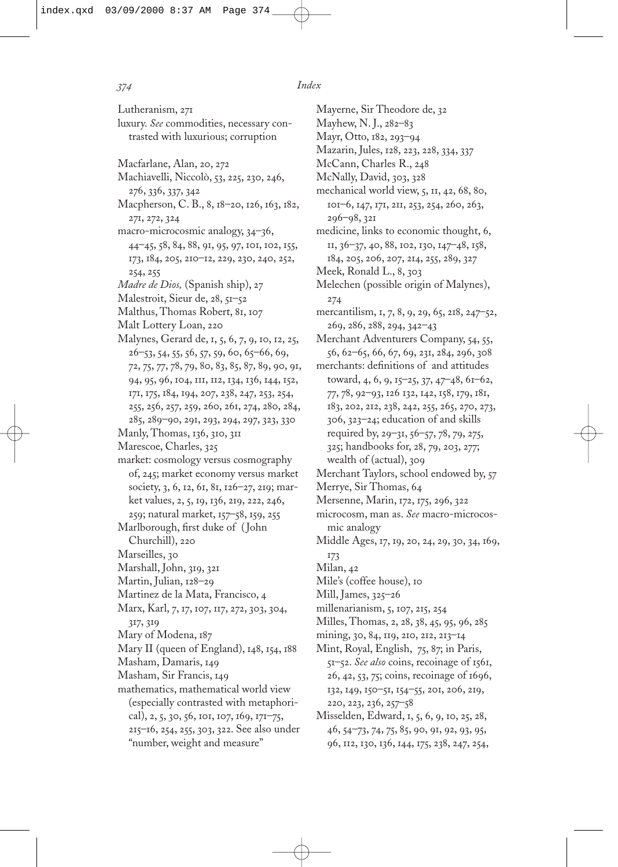Lutheranism, 271 luxury. *See* commodities, necessary contrasted with luxurious; corruption Macfarlane, Alan, 20, 272 Machiavelli, Niccolò, 53, 225, 230, 246, 276, 336, 337, 342 Macpherson, C. B., 8, 18–20, 126, 163, 182, 271, 272, 324 macro-microcosmic analogy, 34–36, 44–45, 58, 84, 88, 91, 95, 97, 101, 102, 155, 173, 184, 205, 210–12, 229, 230, 240, 252, 254, 255 *Madre de Dios,* (Spanish ship), 27 Malestroit, Sieur de, 28, 51-52 Malthus, Thomas Robert, 81, 107 Malt Lottery Loan, 220 Malynes, Gerard de, 1, 5, 6, 7, 9, 10, 12, 25,  $26$ –53, 54, 55, 56, 57, 59, 60, 65–66, 69, 72, 75, 77, 78, 79, 80, 83, 85, 87, 89, 90, 91, 94, 95, 96, 104, 111, 112, 134, 136, 144, 152, 171, 175, 184, 194, 207, 238, 247, 253, 254, 255, 256, 257, 259, 260, 261, 274, 280, 284, 285, 289–90, 291, 293, 294, 297, 323, 330 Manly, Thomas, 136, 310, 311 Marescoe, Charles, 325 market: cosmology versus cosmography of, 245; market economy versus market society, 3, 6, 12, 61, 81, 126–27, 219; market values, 2, 5, 19, 136, 219, 222, 246, 259; natural market, 157–58, 159, 255 Marlborough, first duke of (John Churchill), 220 Marseilles, 30 Marshall, John, 319, 321 Martin, Julian, 128–29 Martinez de la Mata, Francisco, 4 Marx, Karl, 7, 17, 107, 117, 272, 303, 304, 317, 319 Mary of Modena, 187 Mary II (queen of England), 148, 154, 188 Masham, Damaris, 149 Masham, Sir Francis, 149 mathematics, mathematical world view (especially contrasted with metaphorical), 2, 5, 30, 56, 101, 107, 169, 171–75, 215–16, 254, 255, 303, 322. See also under "number, weight and measure"

Mayerne, Sir Theodore de, 32 Mayhew, N. J., 282–83 Mayr, Otto, 182, 293–94 Mazarin, Jules, 128, 223, 228, 334, 337 McCann, Charles R., 248 McNally, David, 303, 328 mechanical world view, 5, 11, 42, 68, 80, 101–6, 147, 171, 211, 253, 254, 260, 263, 296–98, 321 medicine, links to economic thought, 6, 11, 36–37, 40, 88, 102, 130, 147–48, 158, 184, 205, 206, 207, 214, 255, 289, 327 Meek, Ronald L., 8, 303 Melechen (possible origin of Malynes), 274 mercantilism, 1, 7, 8, 9, 29, 65, 218, 247–52, 269, 286, 288, 294, 342–43 Merchant Adventurers Company, 54, 55, 56, 62–65, 66, 67, 69, 231, 284, 296, 308 merchants: definitions of and attitudes toward, 4, 6, 9, 15–25, 37, 47–48, 61–62, 77, 78, 92–93, 126 132, 142, 158, 179, 181, 183, 202, 212, 238, 242, 255, 265, 270, 273, 306, 323–24; education of and skills required by, 29–31, 56–57, 78, 79, 275, 325; handbooks for, 28, 79, 203, 277; wealth of (actual), 309 Merchant Taylors, school endowed by, 57 Merrye, Sir Thomas, 64 Mersenne, Marin, 172, 175, 296, 322 microcosm, man as. *See* macro-microcosmic analogy Middle Ages, 17, 19, 20, 24, 29, 30, 34, 169, 173 Milan, 42 Mile's (coffee house), 10 Mill, James, 325–26 millenarianism, 5, 107, 215, 254 Milles, Thomas, 2, 28, 38, 45, 95, 96, 285 mining, 30, 84, 119, 210, 212, 213–14 Mint, Royal, English, 75, 87; in Paris, 51–52. *See also* coins, recoinage of 1561, 26, 42, 53, 75; coins, recoinage of 1696, 132, 149, 150–51, 154–55, 201, 206, 219, 220, 223, 236, 257–58 Misselden, Edward, 1, 5, 6, 9, 10, 25, 28, 46, 54–73, 74, 75, 85, 90, 91, 92, 93, 95,

96, 112, 130, 136, 144, 175, 238, 247, 254,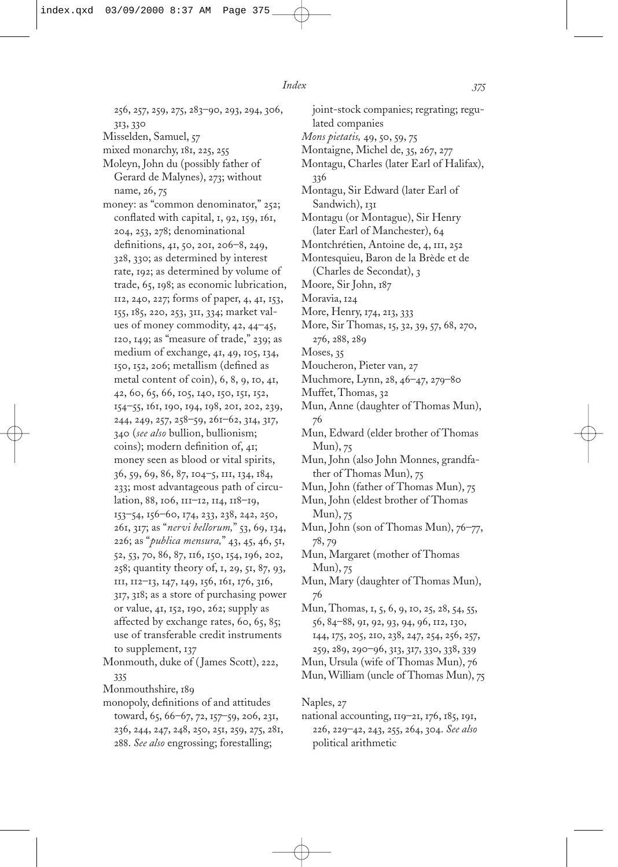256, 257, 259, 275, 283–90, 293, 294, 306, 313, 330 Misselden, Samuel, 57 mixed monarchy, 181, 225, 255 Moleyn, John du (possibly father of Gerard de Malynes), 273; without name, 26, 75 money: as "common denominator," 252; conflated with capital,  $I$ ,  $92$ ,  $159$ ,  $16I$ , 204, 253, 278; denominational definitions, 41, 50, 201, 206–8, 249, 328, 330; as determined by interest rate, 192; as determined by volume of trade, 65, 198; as economic lubrication, 112, 240, 227; forms of paper, 4, 41, 153, 155, 185, 220, 253, 311, 334; market values of money commodity, 42, 44–45, 120, 149; as "measure of trade," 239; as medium of exchange, 41, 49, 105, 134, 150, 152, 206; metallism (defined as metal content of coin), 6, 8, 9, 10, 41, 42, 60, 65, 66, 105, 140, 150, 151, 152, 154–55, 161, 190, 194, 198, 201, 202, 239, 244, 249, 257, 258–59, 261–62, 314, 317, 340 (*see also* bullion, bullionism; coins); modern definition of, 41; money seen as blood or vital spirits, 36, 59, 69, 86, 87, 104–5, 111, 134, 184, 233; most advantageous path of circulation, 88, 106, 111–12, 114, 118–19, 153–54, 156–60, 174, 233, 238, 242, 250, 261, 317; as "*nervi bellorum,*" 53, 69, 134, 226; as "*publica mensura,*" 43, 45, 46, 51, 52, 53, 70, 86, 87, 116, 150, 154, 196, 202, 258; quantity theory of, 1, 29, 51, 87, 93, 111, 112–13, 147, 149, 156, 161, 176, 316, 317, 318; as a store of purchasing power or value, 41, 152, 190, 262; supply as affected by exchange rates, 60, 65, 85; use of transferable credit instruments to supplement, 137 Monmouth, duke of (James Scott), 222, 335

Monmouthshire, 189

monopoly, definitions of and attitudes toward, 65, 66–67, 72, 157–59, 206, 231, 236, 244, 247, 248, 250, 251, 259, 275, 281, 288. *See also* engrossing; forestalling;

joint-stock companies; regrating; regulated companies *Mons pietatis,* 49, 50, 59, 75 Montaigne, Michel de, 35, 267, 277 Montagu, Charles (later Earl of Halifax), 336 Montagu, Sir Edward (later Earl of Sandwich), 131 Montagu (or Montague), Sir Henry (later Earl of Manchester), 64 Montchrétien, Antoine de, 4, 111, 252 Montesquieu, Baron de la Brède et de (Charles de Secondat), 3 Moore, Sir John, 187 Moravia, 124 More, Henry, 174, 213, 333 More, Sir Thomas, 15, 32, 39, 57, 68, 270, 276, 288, 289 Moses, 35 Moucheron, Pieter van, 27 Muchmore, Lynn, 28, 46–47, 279–80 Muffet, Thomas, 32 Mun, Anne (daughter of Thomas Mun), 76 Mun, Edward (elder brother of Thomas Mun), 75 Mun, John (also John Monnes, grandfather of Thomas Mun), 75 Mun, John (father of Thomas Mun), 75 Mun, John (eldest brother of Thomas Mun), 75 Mun, John (son of Thomas Mun), 76–77, 78, 79 Mun, Margaret (mother of Thomas Mun), 75 Mun, Mary (daughter of Thomas Mun), 76 Mun, Thomas, 1, 5, 6, 9, 10, 25, 28, 54, 55, 56, 84–88, 91, 92, 93, 94, 96, 112, 130, 144, 175, 205, 210, 238, 247, 254, 256, 257, 259, 289, 290–96, 313, 317, 330, 338, 339 Mun, Ursula (wife of Thomas Mun), 76 Mun, William (uncle of Thomas Mun), 75

Naples, 27

national accounting, 119–21, 176, 185, 191, 226, 229–42, 243, 255, 264, 304. *See also* political arithmetic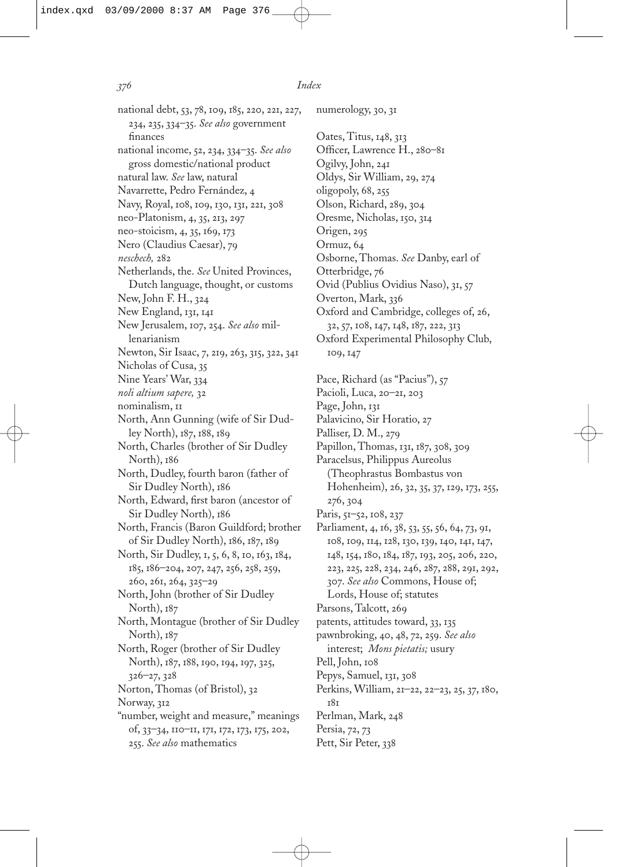national debt, 53, 78, 109, 185, 220, 221, 227, 234, 235, 334–35. *See also* government finances national income, 52, 234, 334–35. *See also* gross domestic/national product natural law. *See* law, natural Navarrette, Pedro Fernández, 4 Navy, Royal, 108, 109, 130, 131, 221, 308 neo-Platonism, 4, 35, 213, 297 neo-stoicism, 4, 35, 169, 173 Nero (Claudius Caesar), 79 *neschech,* 282 Netherlands, the. *See* United Provinces, Dutch language, thought, or customs New, John F. H., 324 New England, 131, 141 New Jerusalem, 107, 254. *See also* millenarianism Newton, Sir Isaac, 7, 219, 263, 315, 322, 341 Nicholas of Cusa, 35 Nine Years' War, 334 *noli altium sapere,* 32 nominalism, 11 North, Ann Gunning (wife of Sir Dudley North), 187, 188, 189 North, Charles (brother of Sir Dudley North), 186 North, Dudley, fourth baron (father of Sir Dudley North), 186 North, Edward, first baron (ancestor of Sir Dudley North), 186 North, Francis (Baron Guildford; brother of Sir Dudley North), 186, 187, 189 North, Sir Dudley, 1, 5, 6, 8, 10, 163, 184, 185, 186–204, 207, 247, 256, 258, 259, 260, 261, 264, 325–29 North, John (brother of Sir Dudley North), 187 North, Montague (brother of Sir Dudley North), 187 North, Roger (brother of Sir Dudley North), 187, 188, 190, 194, 197, 325, 326–27, 328 Norton, Thomas (of Bristol), 32 Norway, 312 "number, weight and measure," meanings of, 33–34, 110–11, 171, 172, 173, 175, 202, 255. *See also* mathematics

numerology, 30, 31 Oates, Titus, 148, 313 Officer, Lawrence H., 280-81 Ogilvy, John, 241 Oldys, Sir William, 29, 274 oligopoly, 68, 255 Olson, Richard, 289, 304 Oresme, Nicholas, 150, 314 Origen, 295 Ormuz, 64 Osborne, Thomas. *See* Danby, earl of Otterbridge, 76 Ovid (Publius Ovidius Naso), 31, 57 Overton, Mark, 336 Oxford and Cambridge, colleges of, 26, 32, 57, 108, 147, 148, 187, 222, 313 Oxford Experimental Philosophy Club, 109, 147 Pace, Richard (as "Pacius"), 57

Pacioli, Luca, 20–21, 203 Page, John, 131 Palavicino, Sir Horatio, 27 Palliser, D. M., 279 Papillon, Thomas, 131, 187, 308, 309 Paracelsus, Philippus Aureolus (Theophrastus Bombastus von Hohenheim), 26, 32, 35, 37, 129, 173, 255, 276, 304 Paris, 51–52, 108, 237 Parliament, 4, 16, 38, 53, 55, 56, 64, 73, 91, 108, 109, 114, 128, 130, 139, 140, 141, 147, 148, 154, 180, 184, 187, 193, 205, 206, 220, 223, 225, 228, 234, 246, 287, 288, 291, 292, 307. *See also* Commons, House of; Lords, House of; statutes Parsons, Talcott, 269 patents, attitudes toward, 33, 135 pawnbroking, 40, 48, 72, 259. *See also* interest; *Mons pietatis;* usury Pell, John, 108 Pepys, Samuel, 131, 308 Perkins, William, 21–22, 22–23, 25, 37, 180, 181 Perlman, Mark, 248 Persia, 72, 73

Pett, Sir Peter, 338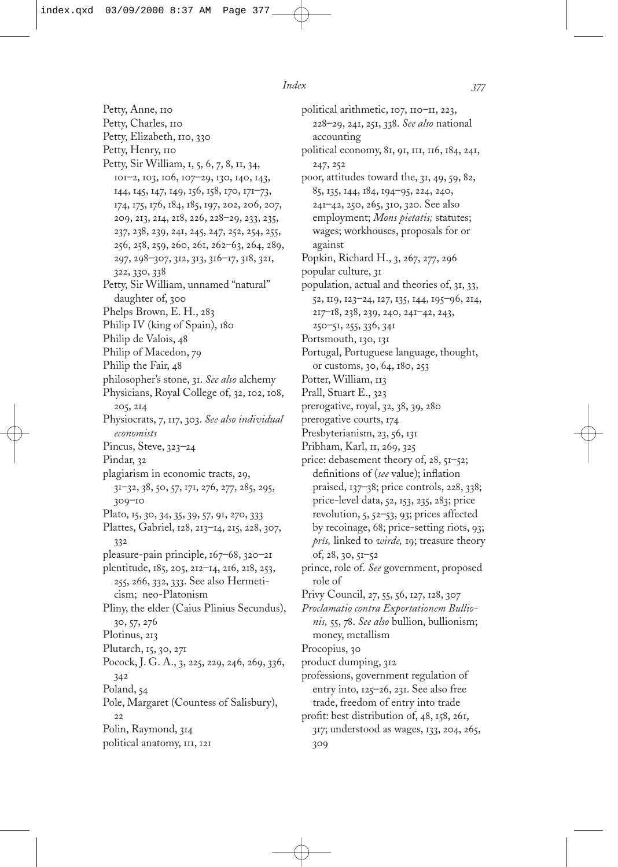Petty, Anne, 110 Petty, Charles, 110 Petty, Elizabeth, 110, 330 Petty, Henry, 110 Petty, Sir William, 1, 5, 6, 7, 8, 11, 34, 101–2, 103, 106, 107–29, 130, 140, 143, 144, 145, 147, 149, 156, 158, 170, 171–73, 174, 175, 176, 184, 185, 197, 202, 206, 207, 209, 213, 214, 218, 226, 228–29, 233, 235, 237, 238, 239, 241, 245, 247, 252, 254, 255, 256, 258, 259, 260, 261, 262–63, 264, 289, 297, 298–307, 312, 313, 316–17, 318, 321, 322, 330, 338 Petty, Sir William, unnamed "natural" daughter of, 300 Phelps Brown, E. H., 283 Philip IV (king of Spain), 180 Philip de Valois, 48 Philip of Macedon, 79 Philip the Fair, 48 philosopher's stone, 31. *See also* alchemy Physicians, Royal College of, 32, 102, 108, 205, 214 Physiocrats, 7, 117, 303. *See also individual economists* Pincus, Steve, 323–24 Pindar, 32 plagiarism in economic tracts, 29, 31–32, 38, 50, 57, 171, 276, 277, 285, 295, 309–10 Plato, 15, 30, 34, 35, 39, 57, 91, 270, 333 Plattes, Gabriel, 128, 213–14, 215, 228, 307, 332 pleasure-pain principle, 167–68, 320–21 plentitude, 185, 205, 212–14, 216, 218, 253, 255, 266, 332, 333. See also Hermeticism; neo-Platonism Pliny, the elder (Caius Plinius Secundus), 30, 57, 276 Plotinus, 213 Plutarch, 15, 30, 271 Pocock, J. G. A., 3, 225, 229, 246, 269, 336, 342 Poland, 54 Pole, Margaret (Countess of Salisbury), 22 Polin, Raymond, 314 political anatomy, 111, 121

political arithmetic, 107, 110–11, 223, 228–29, 241, 251, 338. *See also* national accounting political economy, 81, 91, 111, 116, 184, 241, 247, 252 poor, attitudes toward the, 31, 49, 59, 82, 85, 135, 144, 184, 194–95, 224, 240, 241–42, 250, 265, 310, 320. See also employment; *Mons pietatis;* statutes; wages; workhouses, proposals for or against Popkin, Richard H., 3, 267, 277, 296 popular culture, 31 population, actual and theories of, 31, 33, 52, 119, 123–24, 127, 135, 144, 195–96, 214, 217–18, 238, 239, 240, 241–42, 243, 250–51, 255, 336, 341 Portsmouth, 130, 131 Portugal, Portuguese language, thought, or customs, 30, 64, 180, 253 Potter, William, 113 Prall, Stuart E., 323 prerogative, royal, 32, 38, 39, 280 prerogative courts, 174 Presbyterianism, 23, 56, 131 Pribham, Karl, 11, 269, 325 price: debasement theory of, 28, 51–52; definitions of (see value); inflation praised, 137–38; price controls, 228, 338; price-level data, 52, 153, 235, 283; price revolution, 5, 52–53, 93; prices affected by recoinage, 68; price-setting riots, 93; *prîs,* linked to *wirde,* 19; treasure theory of, 28, 30, 51–52 prince, role of. *See* government, proposed role of Privy Council, 27, 55, 56, 127, 128, 307 *Proclamatio contra Exportationem Bullionis,* 55, 78. *See also* bullion, bullionism; money, metallism Procopius, 30 product dumping, 312 professions, government regulation of entry into, 125–26, 231. See also free trade, freedom of entry into trade profit: best distribution of, 48, 158, 261, 317; understood as wages, 133, 204, 265, 309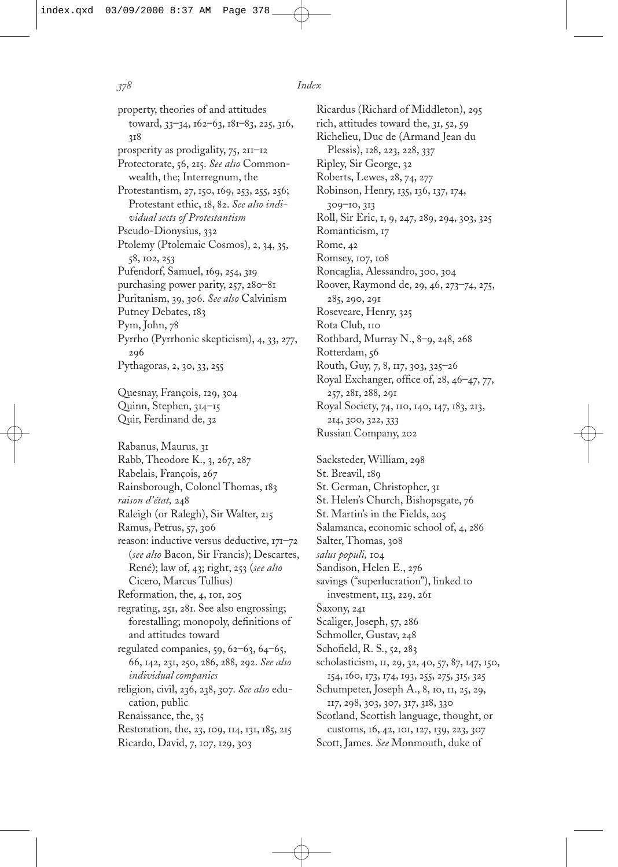property, theories of and attitudes toward, 33–34, 162–63, 181–83, 225, 316, 318 prosperity as prodigality, 75, 211–12 Protectorate, 56, 215. *See also* Commonwealth, the; Interregnum, the Protestantism, 27, 150, 169, 253, 255, 256; Protestant ethic, 18, 82. *See also individual sects of Protestantism* Pseudo-Dionysius, 332 Ptolemy (Ptolemaic Cosmos), 2, 34, 35, 58, 102, 253 Pufendorf, Samuel, 169, 254, 319 purchasing power parity, 257, 280–81 Puritanism, 39, 306. *See also* Calvinism Putney Debates, 183 Pym, John, 78 Pyrrho (Pyrrhonic skepticism), 4, 33, 277, 296 Pythagoras, 2, 30, 33, 255 Quesnay, François, 129, 304 Quinn, Stephen, 314–15 Quir, Ferdinand de, 32 Rabanus, Maurus, 31 Rabb, Theodore K., 3, 267, 287 Rabelais, François, 267 Rainsborough, Colonel Thomas, 183 *raison d'état,* 248 Raleigh (or Ralegh), Sir Walter, 215 Ramus, Petrus, 57, 306 reason: inductive versus deductive, 171–72 (*see also* Bacon, Sir Francis); Descartes, René); law of, 43; right, 253 (*see also* Cicero, Marcus Tullius) Reformation, the, 4, 101, 205 regrating, 251, 281. See also engrossing; forestalling; monopoly, definitions of and attitudes toward regulated companies, 59, 62–63, 64–65, 66, 142, 231, 250, 286, 288, 292. *See also individual companies* religion, civil, 236, 238, 307. *See also* education, public Renaissance, the, 35

Restoration, the, 23, 109, 114, 131, 185, 215

Ricardo, David, 7, 107, 129, 303

Ricardus (Richard of Middleton), 295 rich, attitudes toward the, 31, 52, 59 Richelieu, Duc de (Armand Jean du Plessis), 128, 223, 228, 337 Ripley, Sir George, 32 Roberts, Lewes, 28, 74, 277 Robinson, Henry, 135, 136, 137, 174, 309–10, 313 Roll, Sir Eric, 1, 9, 247, 289, 294, 303, 325 Romanticism, 17 Rome, 42 Romsey, 107, 108 Roncaglia, Alessandro, 300, 304 Roover, Raymond de, 29, 46, 273–74, 275, 285, 290, 291 Roseveare, Henry, 325 Rota Club, 110 Rothbard, Murray N., 8–9, 248, 268 Rotterdam, 56 Routh, Guy, 7, 8, 117, 303, 325–26 Royal Exchanger, office of, 28, 46-47, 77, 257, 281, 288, 291 Royal Society, 74, 110, 140, 147, 183, 213, 214, 300, 322, 333 Russian Company, 202

Sacksteder, William, 298 St. Breavil, 189 St. German, Christopher, 31 St. Helen's Church, Bishopsgate, 76 St. Martin's in the Fields, 205 Salamanca, economic school of, 4, 286 Salter, Thomas, 308 *salus populi,* 104 Sandison, Helen E., 276 savings ("superlucration"), linked to investment, 113, 229, 261 Saxony, 241 Scaliger, Joseph, 57, 286 Schmoller, Gustav, 248 Schofield, R. S., 52, 283 scholasticism, 11, 29, 32, 40, 57, 87, 147, 150, 154, 160, 173, 174, 193, 255, 275, 315, 325 Schumpeter, Joseph A., 8, 10, 11, 25, 29, 117, 298, 303, 307, 317, 318, 330 Scotland, Scottish language, thought, or customs, 16, 42, 101, 127, 139, 223, 307 Scott, James. *See* Monmouth, duke of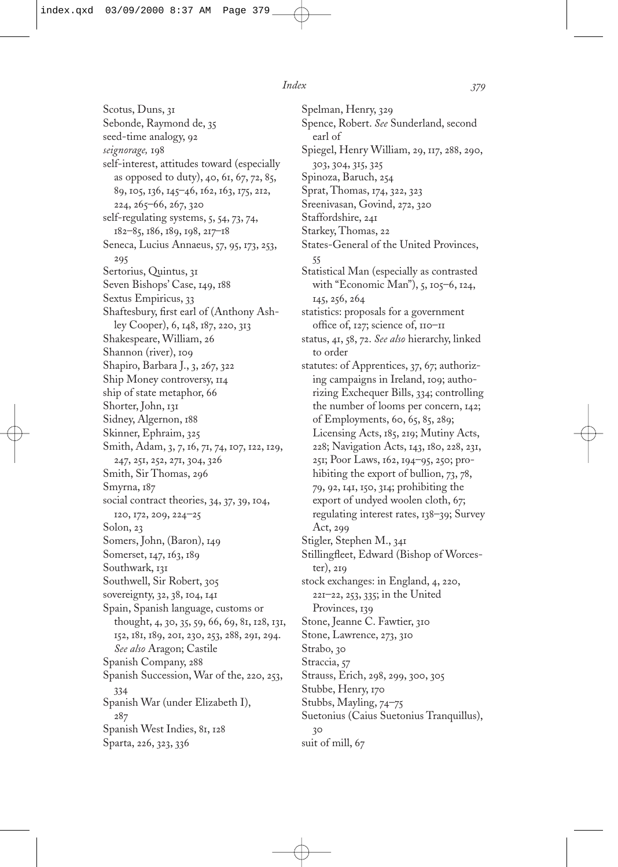Scotus, Duns, 31 Sebonde, Raymond de, 35 seed-time analogy, 92 *seignorage,* 198 self-interest, attitudes toward (especially as opposed to duty), 40, 61, 67, 72, 85, 89, 105, 136, 145–46, 162, 163, 175, 212, 224, 265–66, 267, 320 self-regulating systems, 5, 54, 73, 74, 182–85, 186, 189, 198, 217–18 Seneca, Lucius Annaeus, 57, 95, 173, 253, 295 Sertorius, Quintus, 31 Seven Bishops' Case, 149, 188 Sextus Empiricus, 33 Shaftesbury, first earl of (Anthony Ashley Cooper), 6, 148, 187, 220, 313 Shakespeare, William, 26 Shannon (river), 109 Shapiro, Barbara J., 3, 267, 322 Ship Money controversy, 114 ship of state metaphor, 66 Shorter, John, 131 Sidney, Algernon, 188 Skinner, Ephraim, 325 Smith, Adam, 3, 7, 16, 71, 74, 107, 122, 129, 247, 251, 252, 271, 304, 326 Smith, Sir Thomas, 296 Smyrna, 187 social contract theories, 34, 37, 39, 104, 120, 172, 209, 224–25 Solon, 23 Somers, John, (Baron), 149 Somerset, 147, 163, 189 Southwark, 131 Southwell, Sir Robert, 305 sovereignty, 32, 38, 104, 141 Spain, Spanish language, customs or thought, 4, 30, 35, 59, 66, 69, 81, 128, 131, 152, 181, 189, 201, 230, 253, 288, 291, 294. *See also* Aragon; Castile Spanish Company, 288 Spanish Succession, War of the, 220, 253, 334 Spanish War (under Elizabeth I), 287 Spanish West Indies, 81, 128 Sparta, 226, 323, 336

Spelman, Henry, 329 Spence, Robert. *See* Sunderland, second earl of Spiegel, Henry William, 29, 117, 288, 290, 303, 304, 315, 325 Spinoza, Baruch, 254 Sprat, Thomas, 174, 322, 323 Sreenivasan, Govind, 272, 320 Staffordshire, 241 Starkey, Thomas, 22 States-General of the United Provinces, 55 Statistical Man (especially as contrasted with "Economic Man"), 5, 105–6, 124, 145, 256, 264 statistics: proposals for a government office of, 127; science of, 110-11 status, 41, 58, 72. *See also* hierarchy, linked to order statutes: of Apprentices, 37, 67; authorizing campaigns in Ireland, 109; authorizing Exchequer Bills, 334; controlling the number of looms per concern, 142; of Employments, 60, 65, 85, 289; Licensing Acts, 185, 219; Mutiny Acts, 228; Navigation Acts, 143, 180, 228, 231, 251; Poor Laws, 162, 194–95, 250; prohibiting the export of bullion, 73, 78, 79, 92, 141, 150, 314; prohibiting the export of undyed woolen cloth, 67; regulating interest rates, 138–39; Survey Act, 299 Stigler, Stephen M., 341 Stillingfleet, Edward (Bishop of Worcester), 219 stock exchanges: in England, 4, 220, 221–22, 253, 335; in the United Provinces, 139 Stone, Jeanne C. Fawtier, 310 Stone, Lawrence, 273, 310 Strabo, 30 Straccia, 57 Strauss, Erich, 298, 299, 300, 305 Stubbe, Henry, 170 Stubbs, Mayling, 74–75 Suetonius (Caius Suetonius Tranquillus), 30 suit of mill, 67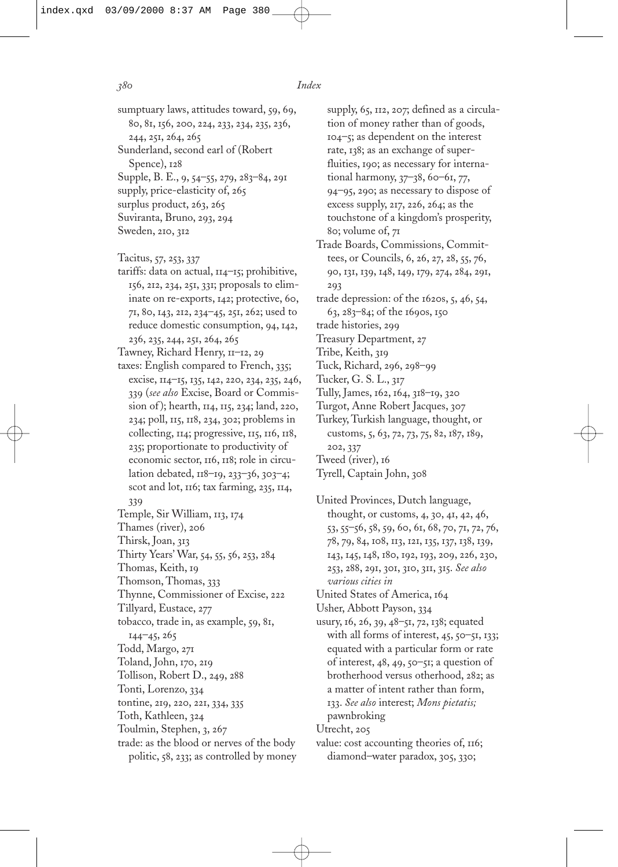- sumptuary laws, attitudes toward, 59, 69, 80, 81, 156, 200, 224, 233, 234, 235, 236, 244, 251, 264, 265 Sunderland, second earl of (Robert Spence), 128 Supple, B. E., 9, 54–55, 279, 283–84, 291
- supply, price-elasticity of, 265
- surplus product, 263, 265
- Suviranta, Bruno, 293, 294
- Sweden, 210, 312
- Tacitus, 57, 253, 337
- tariffs: data on actual, 114–15; prohibitive, 156, 212, 234, 251, 331; proposals to eliminate on re-exports, 142; protective, 60, 71, 80, 143, 212, 234–45, 251, 262; used to reduce domestic consumption, 94, 142, 236, 235, 244, 251, 264, 265
- Tawney, Richard Henry, 11–12, 29
- taxes: English compared to French, 335; excise, 114–15, 135, 142, 220, 234, 235, 246, 339 (*see also* Excise, Board or Commission of ); hearth, 114, 115, 234; land, 220, 234; poll, 115, 118, 234, 302; problems in collecting, 114; progressive, 115, 116, 118, 235; proportionate to productivity of economic sector, 116, 118; role in circulation debated, 118–19, 233–36, 303–4; scot and lot, 116; tax farming, 235, 114, 339
- Temple, Sir William, 113, 174
- Thames (river), 206
- Thirsk, Joan, 313
- Thirty Years' War, 54, 55, 56, 253, 284
- Thomas, Keith, 19
- Thomson, Thomas, 333
- Thynne, Commissioner of Excise, 222
- Tillyard, Eustace, 277
- tobacco, trade in, as example, 59, 81,
- 144–45, 265
- Todd, Margo, 271
- Toland, John, 170, 219
- Tollison, Robert D., 249, 288
- Tonti, Lorenzo, 334
- tontine, 219, 220, 221, 334, 335
- Toth, Kathleen, 324
- Toulmin, Stephen, 3, 267
- trade: as the blood or nerves of the body politic, 58, 233; as controlled by money
- supply, 65, 112, 207; defined as a circulation of money rather than of goods, 104–5; as dependent on the interest rate, 138; as an exchange of superfluities, 190; as necessary for international harmony, 37–38, 60–61, 77, 94–95, 290; as necessary to dispose of excess supply, 217, 226, 264; as the touchstone of a kingdom's prosperity, 80; volume of, 71
- Trade Boards, Commissions, Committees, or Councils, 6, 26, 27, 28, 55, 76, 90, 131, 139, 148, 149, 179, 274, 284, 291, 293
- trade depression: of the 1620s, 5, 46, 54, 63, 283–84; of the 1690s, 150
- trade histories, 299
- Treasury Department, 27
- Tribe, Keith, 319
- Tuck, Richard, 296, 298–99
- Tucker, G. S. L., 317
- Tully, James, 162, 164, 318–19, 320
- Turgot, Anne Robert Jacques, 307
- Turkey, Turkish language, thought, or customs, 5, 63, 72, 73, 75, 82, 187, 189, 202, 337
- Tweed (river), 16

### Tyrell, Captain John, 308

- United Provinces, Dutch language, thought, or customs, 4, 30, 41, 42, 46, 53, 55–56, 58, 59, 60, 61, 68, 70, 71, 72, 76, 78, 79, 84, 108, 113, 121, 135, 137, 138, 139, 143, 145, 148, 180, 192, 193, 209, 226, 230, 253, 288, 291, 301, 310, 311, 315. *See also various cities in*
- United States of America, 164
- Usher, Abbott Payson, 334
- usury, 16, 26, 39, 48–51, 72, 138; equated with all forms of interest, 45, 50-51, 133; equated with a particular form or rate of interest,  $48, 49, 50 - 51$ ; a question of brotherhood versus otherhood, 282; as a matter of intent rather than form, 133. *See also* interest; *Mons pietatis;* pawnbroking
- Utrecht, 205
- value: cost accounting theories of, 116; diamond–water paradox, 305, 330;